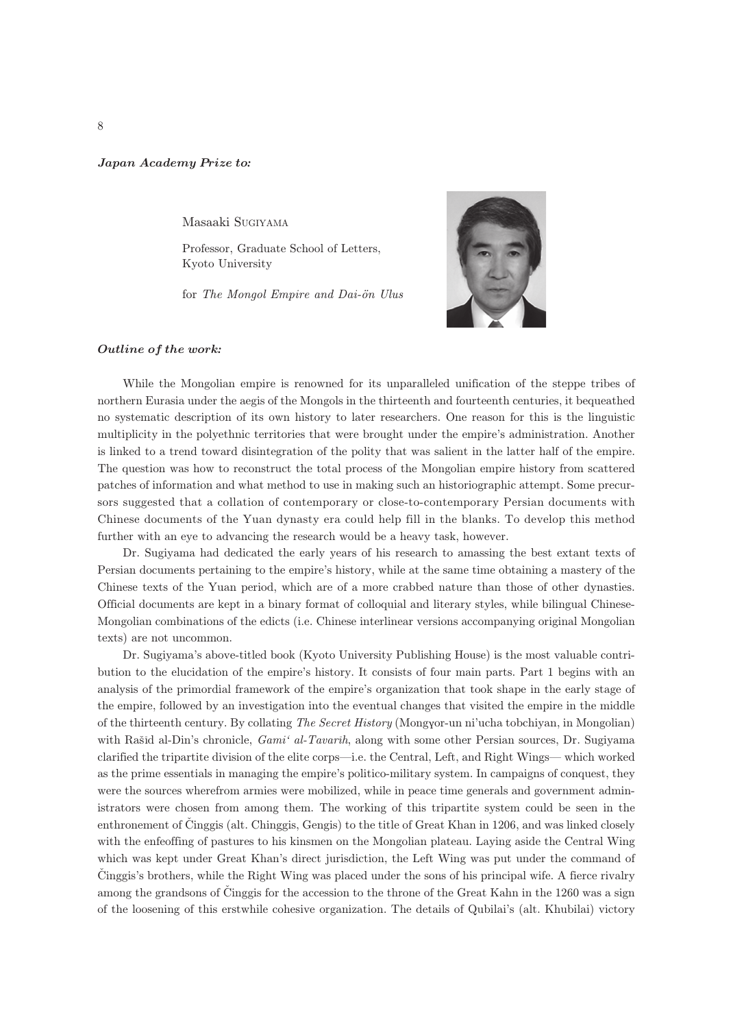## Japan Academy Prize to*:*

Masaaki SUGIYAMA

Professor, Graduate School of Letters, Kyoto University

for The Mongol Empire and Dai-ön Ulus



## Outline of the work*:*

While the Mongolian empire is renowned for its unparalleled unification of the steppe tribes of northern Eurasia under the aegis of the Mongols in the thirteenth and fourteenth centuries, it bequeathed no systematic description of its own history to later researchers. One reason for this is the linguistic multiplicity in the polyethnic territories that were brought under the empire's administration. Another is linked to a trend toward disintegration of the polity that was salient in the latter half of the empire. The question was how to reconstruct the total process of the Mongolian empire history from scattered patches of information and what method to use in making such an historiographic attempt. Some precursors suggested that a collation of contemporary or close-to-contemporary Persian documents with Chinese documents of the Yuan dynasty era could help fill in the blanks. To develop this method further with an eye to advancing the research would be a heavy task, however.

Dr. Sugiyama had dedicated the early years of his research to amassing the best extant texts of Persian documents pertaining to the empire's history, while at the same time obtaining a mastery of the Chinese texts of the Yuan period, which are of a more crabbed nature than those of other dynasties. Official documents are kept in a binary format of colloquial and literary styles, while bilingual Chinese-Mongolian combinations of the edicts (i.e. Chinese interlinear versions accompanying original Mongolian texts) are not uncommon.

Dr. Sugiyama's above-titled book (Kyoto University Publishing House) is the most valuable contribution to the elucidation of the empire's history. It consists of four main parts. Part 1 begins with an analysis of the primordial framework of the empire's organization that took shape in the early stage of the empire, followed by an investigation into the eventual changes that visited the empire in the middle of the thirteenth century. By collating The Secret History (Mongor-un ni'ucha tobchiyan, in Mongolian) with Rašid al-Din's chronicle,  $Gami<sup>i</sup> al-Tavarih$ , along with some other Persian sources, Dr. Sugiyama clarified the tripartite division of the elite corps—i.e. the Central, Left, and Right Wings— which worked as the prime essentials in managing the empire's politico-military system. In campaigns of conquest, they were the sources wherefrom armies were mobilized, while in peace time generals and government administrators were chosen from among them. The working of this tripartite system could be seen in the enthronement of Cinggis (alt. Chinggis, Gengis) to the title of Great Khan in 1206, and was linked closely with the enfeoffing of pastures to his kinsmen on the Mongolian plateau. Laying aside the Central Wing which was kept under Great Khan's direct jurisdiction, the Left Wing was put under the command of Cinggis's brothers, while the Right Wing was placed under the sons of his principal wife. A fierce rivalry among the grandsons of Cinggis for the accession to the throne of the Great Kahn in the 1260 was a sign of the loosening of this erstwhile cohesive organization. The details of Qubilai's (alt. Khubilai) victory